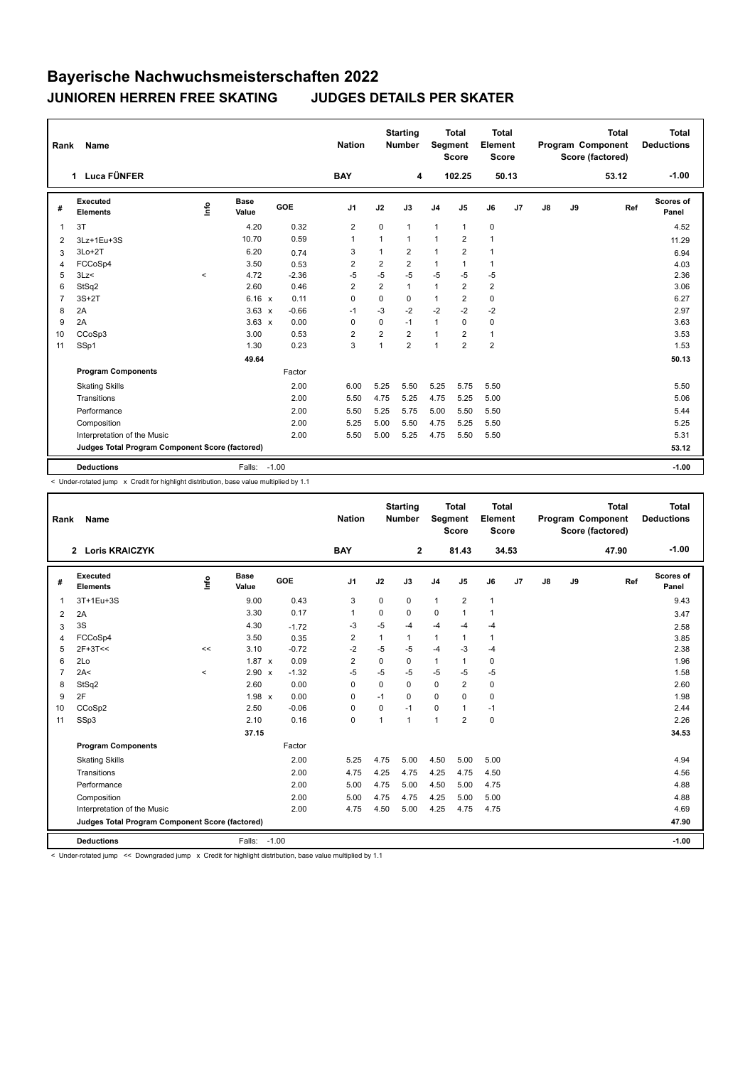## **Bayerische Nachwuchsmeisterschaften 2022 JUNIOREN HERREN FREE SKATING JUDGES DETAILS PER SKATER**

| <b>Name</b><br>Rank                                      |                             |          |               |         | <b>Nation</b>  |                | <b>Starting</b><br><b>Number</b> | Segment        | <b>Total</b><br><b>Score</b> | <b>Total</b><br>Element<br><b>Score</b> |                |               |    | <b>Total</b><br>Program Component<br>Score (factored) | <b>Total</b><br><b>Deductions</b> |
|----------------------------------------------------------|-----------------------------|----------|---------------|---------|----------------|----------------|----------------------------------|----------------|------------------------------|-----------------------------------------|----------------|---------------|----|-------------------------------------------------------|-----------------------------------|
|                                                          | 1 Luca FÜNFER               |          |               |         | <b>BAY</b>     |                | 4                                |                | 102.25                       |                                         | 50.13          |               |    | 53.12                                                 | $-1.00$                           |
| #                                                        | Executed<br><b>Elements</b> | ١nfo     | Base<br>Value | GOE     | J <sub>1</sub> | J2             | J3                               | J <sub>4</sub> | J <sub>5</sub>               | J6                                      | J <sub>7</sub> | $\mathsf{J}8$ | J9 | Ref                                                   | Scores of<br>Panel                |
| $\overline{1}$                                           | 3T                          |          | 4.20          | 0.32    | $\overline{2}$ | 0              | 1                                | $\overline{1}$ | $\mathbf{1}$                 | $\mathbf 0$                             |                |               |    |                                                       | 4.52                              |
| 2                                                        | 3Lz+1Eu+3S                  |          | 10.70         | 0.59    | $\overline{1}$ | $\mathbf{1}$   | 1                                | $\mathbf{1}$   | 2                            | $\overline{1}$                          |                |               |    |                                                       | 11.29                             |
| 3                                                        | $3Lo+2T$                    |          | 6.20          | 0.74    | 3              | $\mathbf{1}$   | $\overline{2}$                   | $\mathbf{1}$   | $\overline{2}$               | $\mathbf{1}$                            |                |               |    |                                                       | 6.94                              |
| 4                                                        | FCCoSp4                     |          | 3.50          | 0.53    | $\overline{2}$ | $\overline{2}$ | $\overline{2}$                   | $\mathbf{1}$   | $\mathbf{1}$                 | $\mathbf{1}$                            |                |               |    |                                                       | 4.03                              |
| 5                                                        | 3Lz<                        | $\hat{}$ | 4.72          | $-2.36$ | $-5$           | $-5$           | $-5$                             | $-5$           | $-5$                         | $-5$                                    |                |               |    |                                                       | 2.36                              |
| 6                                                        | StSq2                       |          | 2.60          | 0.46    | $\overline{2}$ | $\overline{2}$ | 1                                | $\mathbf{1}$   | $\overline{2}$               | $\overline{2}$                          |                |               |    |                                                       | 3.06                              |
| $\overline{7}$                                           | $3S+2T$                     |          | 6.16 x        | 0.11    | $\mathbf 0$    | $\Omega$       | 0                                | $\mathbf{1}$   | $\overline{2}$               | 0                                       |                |               |    |                                                       | 6.27                              |
| 8                                                        | 2A                          |          | $3.63 \times$ | $-0.66$ | $-1$           | $-3$           | $-2$                             | $-2$           | $-2$                         | $-2$                                    |                |               |    |                                                       | 2.97                              |
| 9                                                        | 2A                          |          | $3.63 \times$ | 0.00    | $\mathbf 0$    | 0              | $-1$                             | $\mathbf{1}$   | 0                            | 0                                       |                |               |    |                                                       | 3.63                              |
| 10                                                       | CCoSp3                      |          | 3.00          | 0.53    | $\overline{2}$ | $\overline{2}$ | $\overline{2}$                   | $\mathbf{1}$   | $\overline{2}$               | $\mathbf{1}$                            |                |               |    |                                                       | 3.53                              |
| 11                                                       | SSp1                        |          | 1.30          | 0.23    | 3              | 1              | $\overline{2}$                   | $\overline{1}$ | $\overline{2}$               | $\overline{2}$                          |                |               |    |                                                       | 1.53                              |
|                                                          |                             |          | 49.64         |         |                |                |                                  |                |                              |                                         |                |               |    |                                                       | 50.13                             |
|                                                          | <b>Program Components</b>   |          |               | Factor  |                |                |                                  |                |                              |                                         |                |               |    |                                                       |                                   |
|                                                          | <b>Skating Skills</b>       |          |               | 2.00    | 6.00           | 5.25           | 5.50                             | 5.25           | 5.75                         | 5.50                                    |                |               |    |                                                       | 5.50                              |
|                                                          | Transitions                 |          |               | 2.00    | 5.50           | 4.75           | 5.25                             | 4.75           | 5.25                         | 5.00                                    |                |               |    |                                                       | 5.06                              |
|                                                          | Performance                 |          |               | 2.00    | 5.50           | 5.25           | 5.75                             | 5.00           | 5.50                         | 5.50                                    |                |               |    |                                                       | 5.44                              |
|                                                          | Composition                 |          |               | 2.00    | 5.25           | 5.00           | 5.50                             | 4.75           | 5.25                         | 5.50                                    |                |               |    |                                                       | 5.25                              |
|                                                          | Interpretation of the Music |          |               | 2.00    | 5.50           | 5.00           | 5.25                             | 4.75           | 5.50                         | 5.50                                    |                |               |    |                                                       | 5.31                              |
| Judges Total Program Component Score (factored)<br>53.12 |                             |          |               |         |                |                |                                  |                |                              |                                         |                |               |    |                                                       |                                   |
|                                                          | <b>Deductions</b>           |          | Falls: -1.00  |         |                |                |                                  |                |                              |                                         |                |               |    |                                                       | $-1.00$                           |

< Under-rotated jump x Credit for highlight distribution, base value multiplied by 1.1

| Rank           | <b>Name</b>                                     |             |                      |         | <b>Nation</b>  |                | <b>Starting</b><br><b>Number</b> | Segment        | <b>Total</b><br><b>Score</b> | Total<br>Element<br><b>Score</b> |       |    |    | <b>Total</b><br>Program Component<br>Score (factored) | <b>Total</b><br><b>Deductions</b> |
|----------------|-------------------------------------------------|-------------|----------------------|---------|----------------|----------------|----------------------------------|----------------|------------------------------|----------------------------------|-------|----|----|-------------------------------------------------------|-----------------------------------|
|                | 2 Loris KRAICZYK                                |             |                      |         | <b>BAY</b>     |                | $\mathbf{2}$                     |                | 81.43                        |                                  | 34.53 |    |    | 47.90                                                 | $-1.00$                           |
| #              | Executed<br><b>Elements</b>                     | <u>lnfo</u> | <b>Base</b><br>Value | GOE     | J <sub>1</sub> | J2             | J3                               | J <sub>4</sub> | J5                           | J6                               | J7    | J8 | J9 | Ref                                                   | Scores of<br>Panel                |
| $\overline{1}$ | 3T+1Eu+3S                                       |             | 9.00                 | 0.43    | 3              | $\Omega$       | 0                                | $\mathbf{1}$   | $\overline{2}$               | $\mathbf{1}$                     |       |    |    |                                                       | 9.43                              |
| 2              | 2A                                              |             | 3.30                 | 0.17    | 1              | $\Omega$       | $\Omega$                         | 0              | $\overline{1}$               | $\mathbf{1}$                     |       |    |    |                                                       | 3.47                              |
| 3              | 3S                                              |             | 4.30                 | $-1.72$ | -3             | $-5$           | $-4$                             | $-4$           | $-4$                         | $-4$                             |       |    |    |                                                       | 2.58                              |
| $\overline{4}$ | FCCoSp4                                         |             | 3.50                 | 0.35    | $\overline{2}$ | $\overline{1}$ | $\mathbf{1}$                     | $\mathbf{1}$   | 1                            | $\mathbf{1}$                     |       |    |    |                                                       | 3.85                              |
| 5              | $2F+3T<<$                                       | <<          | 3.10                 | $-0.72$ | -2             | $-5$           | $-5$                             | $-4$           | -3                           | $-4$                             |       |    |    |                                                       | 2.38                              |
| 6              | 2Lo                                             |             | $1.87 \times$        | 0.09    | $\overline{2}$ | $\Omega$       | $\Omega$                         | $\mathbf{1}$   | 1                            | 0                                |       |    |    |                                                       | 1.96                              |
| $\overline{7}$ | 2A<                                             | $\prec$     | $2.90 \times$        | $-1.32$ | $-5$           | $-5$           | $-5$                             | $-5$           | $-5$                         | $-5$                             |       |    |    |                                                       | 1.58                              |
| 8              | StSq2                                           |             | 2.60                 | 0.00    | $\Omega$       | $\Omega$       | $\Omega$                         | $\mathbf 0$    | $\overline{2}$               | 0                                |       |    |    |                                                       | 2.60                              |
| 9              | 2F                                              |             | $1.98 \times$        | 0.00    | $\Omega$       | $-1$           | $\Omega$                         | $\Omega$       | 0                            | 0                                |       |    |    |                                                       | 1.98                              |
| 10             | CCoSp2                                          |             | 2.50                 | $-0.06$ | 0              | $\Omega$       | $-1$                             | $\Omega$       | 1                            | $-1$                             |       |    |    |                                                       | 2.44                              |
| 11             | SSp3                                            |             | 2.10                 | 0.16    | 0              | 1              | $\mathbf{1}$                     | $\overline{1}$ | $\overline{2}$               | $\mathbf 0$                      |       |    |    |                                                       | 2.26                              |
|                |                                                 |             | 37.15                |         |                |                |                                  |                |                              |                                  |       |    |    |                                                       | 34.53                             |
|                | <b>Program Components</b>                       |             |                      | Factor  |                |                |                                  |                |                              |                                  |       |    |    |                                                       |                                   |
|                | <b>Skating Skills</b>                           |             |                      | 2.00    | 5.25           | 4.75           | 5.00                             | 4.50           | 5.00                         | 5.00                             |       |    |    |                                                       | 4.94                              |
|                | Transitions                                     |             |                      | 2.00    | 4.75           | 4.25           | 4.75                             | 4.25           | 4.75                         | 4.50                             |       |    |    |                                                       | 4.56                              |
|                | Performance                                     |             |                      | 2.00    | 5.00           | 4.75           | 5.00                             | 4.50           | 5.00                         | 4.75                             |       |    |    |                                                       | 4.88                              |
|                | Composition                                     |             |                      | 2.00    | 5.00           | 4.75           | 4.75                             | 4.25           | 5.00                         | 5.00                             |       |    |    |                                                       | 4.88                              |
|                | Interpretation of the Music                     |             |                      | 2.00    | 4.75           | 4.50           | 5.00                             | 4.25           | 4.75                         | 4.75                             |       |    |    |                                                       | 4.69                              |
|                | Judges Total Program Component Score (factored) |             |                      |         |                |                |                                  |                |                              |                                  |       |    |    |                                                       | 47.90                             |
|                | <b>Deductions</b>                               |             | Falls: -1.00         |         |                |                |                                  |                |                              |                                  |       |    |    |                                                       | $-1.00$                           |

< Under-rotated jump << Downgraded jump x Credit for highlight distribution, base value multiplied by 1.1